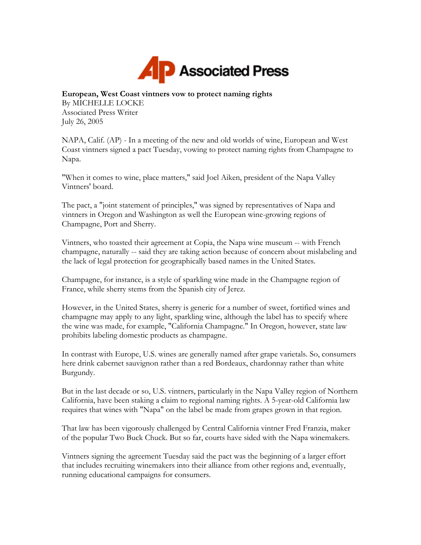

## **European, West Coast vintners vow to protect naming rights**

By MICHELLE LOCKE Associated Press Writer July 26, 2005

NAPA, Calif. (AP) - In a meeting of the new and old worlds of wine, European and West Coast vintners signed a pact Tuesday, vowing to protect naming rights from Champagne to Napa.

"When it comes to wine, place matters," said Joel Aiken, president of the Napa Valley Vintners' board.

The pact, a "joint statement of principles," was signed by representatives of Napa and vintners in Oregon and Washington as well the European wine-growing regions of Champagne, Port and Sherry.

Vintners, who toasted their agreement at Copia, the Napa wine museum -- with French champagne, naturally -- said they are taking action because of concern about mislabeling and the lack of legal protection for geographically based names in the United States.

Champagne, for instance, is a style of sparkling wine made in the Champagne region of France, while sherry stems from the Spanish city of Jerez.

However, in the United States, sherry is generic for a number of sweet, fortified wines and champagne may apply to any light, sparkling wine, although the label has to specify where the wine was made, for example, "California Champagne." In Oregon, however, state law prohibits labeling domestic products as champagne.

In contrast with Europe, U.S. wines are generally named after grape varietals. So, consumers here drink cabernet sauvignon rather than a red Bordeaux, chardonnay rather than white Burgundy.

But in the last decade or so, U.S. vintners, particularly in the Napa Valley region of Northern California, have been staking a claim to regional naming rights. A 5-year-old California law requires that wines with "Napa" on the label be made from grapes grown in that region.

That law has been vigorously challenged by Central California vintner Fred Franzia, maker of the popular Two Buck Chuck. But so far, courts have sided with the Napa winemakers.

Vintners signing the agreement Tuesday said the pact was the beginning of a larger effort that includes recruiting winemakers into their alliance from other regions and, eventually, running educational campaigns for consumers.